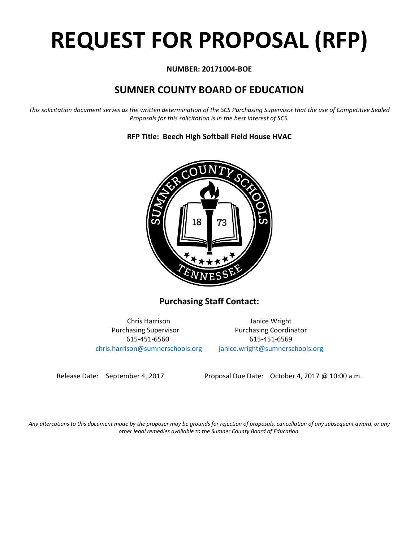# **REQUEST FOR PROPOSAL (RFP)**

# **NUMBER: 20171004-BOE**

# **SUMNER COUNTY BOARD OF EDUCATION**

*This solicitation document serves as the written determination of the SCS Purchasing Supervisor that the use of Competitive Sealed Proposals for this solicitation is in the best interest of SCS.*



# **RFP Title: Beech High Softball Field House HVAC**

**Purchasing Staff Contact:**

[chris.harrison@sumnerschools.org](mailto:chris.harrison@sumnerschools.org) [janice.wright@sumnerschools.org](mailto:janice.wright@sumnerschools.org)

Chris Harrison Janice Wright Purchasing Supervisor **Purchasing Coordinator** 615-451-6560 615-451-6569

Release Date: September 4, 2017 Proposal Due Date: October 4, 2017 @ 10:00 a.m.

*Any altercations to this document made by the proposer may be grounds for rejection of proposals, cancellation of any subsequent award, or any other legal remedies available to the Sumner County Board of Education.*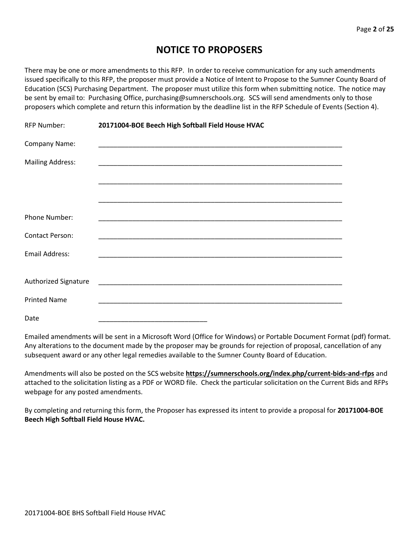# **NOTICE TO PROPOSERS**

There may be one or more amendments to this RFP. In order to receive communication for any such amendments issued specifically to this RFP, the proposer must provide a Notice of Intent to Propose to the Sumner County Board of Education (SCS) Purchasing Department. The proposer must utilize this form when submitting notice. The notice may be sent by email to: Purchasing Office, purchasing@sumnerschools.org. SCS will send amendments only to those proposers which complete and return this information by the deadline list in the RFP Schedule of Events (Section 4).

| <b>RFP Number:</b>      | 20171004-BOE Beech High Softball Field House HVAC |  |  |  |  |
|-------------------------|---------------------------------------------------|--|--|--|--|
| Company Name:           |                                                   |  |  |  |  |
| <b>Mailing Address:</b> |                                                   |  |  |  |  |
|                         |                                                   |  |  |  |  |
|                         |                                                   |  |  |  |  |
| Phone Number:           |                                                   |  |  |  |  |
| <b>Contact Person:</b>  |                                                   |  |  |  |  |
| Email Address:          |                                                   |  |  |  |  |
|                         |                                                   |  |  |  |  |
| Authorized Signature    |                                                   |  |  |  |  |
| <b>Printed Name</b>     |                                                   |  |  |  |  |
| Date                    |                                                   |  |  |  |  |

Emailed amendments will be sent in a Microsoft Word (Office for Windows) or Portable Document Format (pdf) format. Any alterations to the document made by the proposer may be grounds for rejection of proposal, cancellation of any subsequent award or any other legal remedies available to the Sumner County Board of Education.

Amendments will also be posted on the SCS website **https://sumnerschools.org/index.php/current-bids-and-rfps** and attached to the solicitation listing as a PDF or WORD file. Check the particular solicitation on the Current Bids and RFPs webpage for any posted amendments.

By completing and returning this form, the Proposer has expressed its intent to provide a proposal for **20171004-BOE Beech High Softball Field House HVAC.**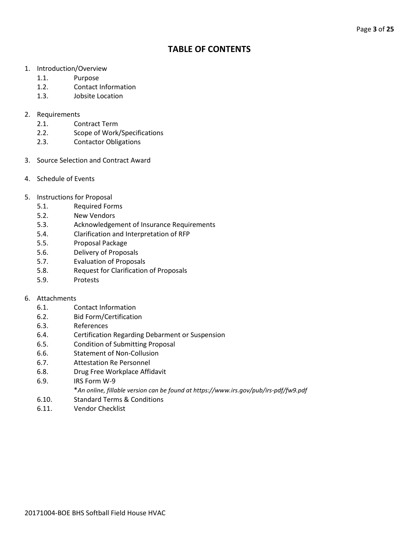# **TABLE OF CONTENTS**

- 1. Introduction/Overview
	- 1.1. Purpose
	- 1.2. Contact Information
	- 1.3. Jobsite Location
- 2. Requirements
	- 2.1. Contract Term
	- 2.2. Scope of Work/Specifications
	- 2.3. Contactor Obligations
- 3. Source Selection and Contract Award
- 4. Schedule of Events
- 5. Instructions for Proposal
	- 5.1. Required Forms
	- 5.2. New Vendors
	- 5.3. Acknowledgement of Insurance Requirements
	- 5.4. Clarification and Interpretation of RFP
	- 5.5. Proposal Package
	- 5.6. Delivery of Proposals
	- 5.7. Evaluation of Proposals
	- 5.8. Request for Clarification of Proposals
	- 5.9. Protests

#### 6. Attachments

- 6.1. Contact Information
- 6.2. Bid Form/Certification
- 6.3. References
- 6.4. Certification Regarding Debarment or Suspension
- 6.5. Condition of Submitting Proposal
- 6.6. Statement of Non-Collusion
- 6.7. Attestation Re Personnel
- 6.8. Drug Free Workplace Affidavit
- 6.9. IRS Form W-9
	- \**An online, fillable version can be found at https://www.irs.gov/pub/irs-pdf/fw9.pdf*
- 6.10. Standard Terms & Conditions
- 6.11. Vendor Checklist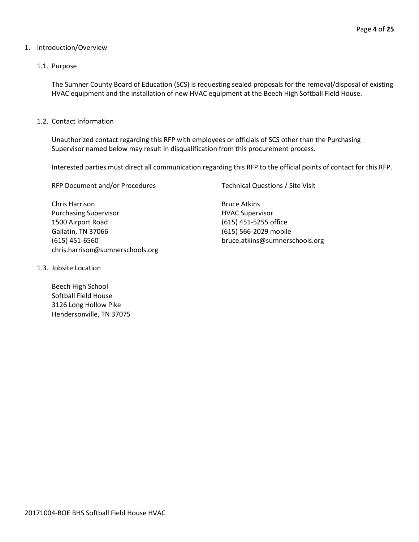#### 1. Introduction/Overview

#### 1.1. Purpose

The Sumner County Board of Education (SCS) is requesting sealed proposals for the removal/disposal of existing HVAC equipment and the installation of new HVAC equipment at the Beech High Softball Field House.

1.2. Contact Information

Unauthorized contact regarding this RFP with employees or officials of SCS other than the Purchasing Supervisor named below may result in disqualification from this procurement process.

Interested parties must direct all communication regarding this RFP to the official points of contact for this RFP.

RFP Document and/or Procedures Technical Questions / Site Visit

Chris Harrison **Bruce Atkins** Purchasing Supervisor **HVAC Supervisor HVAC Supervisor** 1500 Airport Road (615) 451-5255 office Gallatin, TN 37066 (615) 566-2029 mobile (615) 451-6560 bruce.atkins@sumnerschools.org chris.harrison@sumnerschools.org

1.3. Jobsite Location

Beech High School Softball Field House 3126 Long Hollow Pike Hendersonville, TN 37075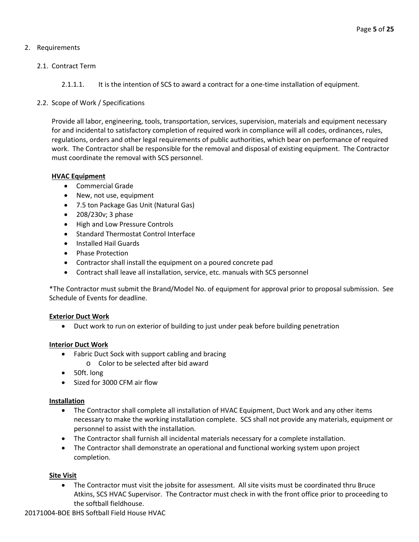# 2. Requirements

# 2.1. Contract Term

2.1.1.1. It is the intention of SCS to award a contract for a one-time installation of equipment.

## 2.2. Scope of Work / Specifications

Provide all labor, engineering, tools, transportation, services, supervision, materials and equipment necessary for and incidental to satisfactory completion of required work in compliance will all codes, ordinances, rules, regulations, orders and other legal requirements of public authorities, which bear on performance of required work. The Contractor shall be responsible for the removal and disposal of existing equipment. The Contractor must coordinate the removal with SCS personnel.

#### **HVAC Equipment**

- Commercial Grade
- New, not use, equipment
- 7.5 ton Package Gas Unit (Natural Gas)
- 208/230v; 3 phase
- High and Low Pressure Controls
- Standard Thermostat Control Interface
- Installed Hail Guards
- Phase Protection
- Contractor shall install the equipment on a poured concrete pad
- Contract shall leave all installation, service, etc. manuals with SCS personnel

\*The Contractor must submit the Brand/Model No. of equipment for approval prior to proposal submission. See Schedule of Events for deadline.

#### **Exterior Duct Work**

• Duct work to run on exterior of building to just under peak before building penetration

# **Interior Duct Work**

- Fabric Duct Sock with support cabling and bracing
	- o Color to be selected after bid award
- 50ft. long
- Sized for 3000 CFM air flow

#### **Installation**

- The Contractor shall complete all installation of HVAC Equipment, Duct Work and any other items necessary to make the working installation complete. SCS shall not provide any materials, equipment or personnel to assist with the installation.
- The Contractor shall furnish all incidental materials necessary for a complete installation.
- The Contractor shall demonstrate an operational and functional working system upon project completion.

#### **Site Visit**

• The Contractor must visit the jobsite for assessment. All site visits must be coordinated thru Bruce Atkins, SCS HVAC Supervisor. The Contractor must check in with the front office prior to proceeding to the softball fieldhouse.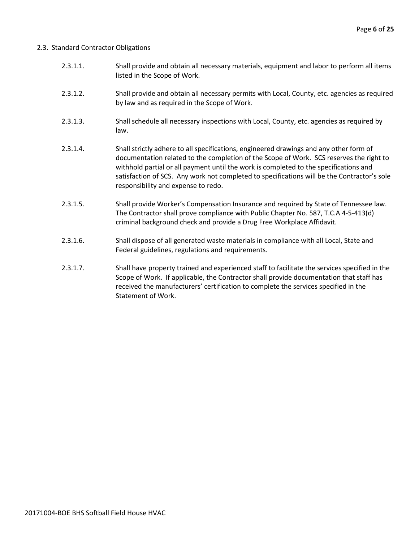#### 2.3. Standard Contractor Obligations

- 2.3.1.1. Shall provide and obtain all necessary materials, equipment and labor to perform all items listed in the Scope of Work.
- 2.3.1.2. Shall provide and obtain all necessary permits with Local, County, etc. agencies as required by law and as required in the Scope of Work.
- 2.3.1.3. Shall schedule all necessary inspections with Local, County, etc. agencies as required by law.
- 2.3.1.4. Shall strictly adhere to all specifications, engineered drawings and any other form of documentation related to the completion of the Scope of Work. SCS reserves the right to withhold partial or all payment until the work is completed to the specifications and satisfaction of SCS. Any work not completed to specifications will be the Contractor's sole responsibility and expense to redo.
- 2.3.1.5. Shall provide Worker's Compensation Insurance and required by State of Tennessee law. The Contractor shall prove compliance with Public Chapter No. 587, T.C.A 4-5-413(d) criminal background check and provide a Drug Free Workplace Affidavit.
- 2.3.1.6. Shall dispose of all generated waste materials in compliance with all Local, State and Federal guidelines, regulations and requirements.
- 2.3.1.7. Shall have property trained and experienced staff to facilitate the services specified in the Scope of Work. If applicable, the Contractor shall provide documentation that staff has received the manufacturers' certification to complete the services specified in the Statement of Work.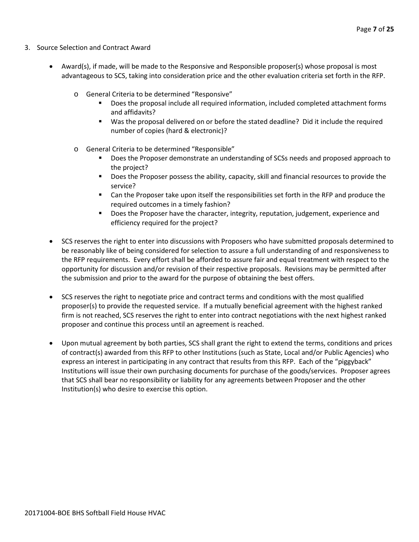- 3. Source Selection and Contract Award
	- Award(s), if made, will be made to the Responsive and Responsible proposer(s) whose proposal is most advantageous to SCS, taking into consideration price and the other evaluation criteria set forth in the RFP.
		- o General Criteria to be determined "Responsive"
			- Does the proposal include all required information, included completed attachment forms and affidavits?
			- Was the proposal delivered on or before the stated deadline? Did it include the required number of copies (hard & electronic)?
		- o General Criteria to be determined "Responsible"
			- Does the Proposer demonstrate an understanding of SCSs needs and proposed approach to the project?
			- **Does the Proposer possess the ability, capacity, skill and financial resources to provide the** service?
			- Can the Proposer take upon itself the responsibilities set forth in the RFP and produce the required outcomes in a timely fashion?
			- **Does the Proposer have the character, integrity, reputation, judgement, experience and** efficiency required for the project?
	- SCS reserves the right to enter into discussions with Proposers who have submitted proposals determined to be reasonably like of being considered for selection to assure a full understanding of and responsiveness to the RFP requirements. Every effort shall be afforded to assure fair and equal treatment with respect to the opportunity for discussion and/or revision of their respective proposals. Revisions may be permitted after the submission and prior to the award for the purpose of obtaining the best offers.
	- SCS reserves the right to negotiate price and contract terms and conditions with the most qualified proposer(s) to provide the requested service. If a mutually beneficial agreement with the highest ranked firm is not reached, SCS reserves the right to enter into contract negotiations with the next highest ranked proposer and continue this process until an agreement is reached.
	- Upon mutual agreement by both parties, SCS shall grant the right to extend the terms, conditions and prices of contract(s) awarded from this RFP to other Institutions (such as State, Local and/or Public Agencies) who express an interest in participating in any contract that results from this RFP. Each of the "piggyback" Institutions will issue their own purchasing documents for purchase of the goods/services. Proposer agrees that SCS shall bear no responsibility or liability for any agreements between Proposer and the other Institution(s) who desire to exercise this option.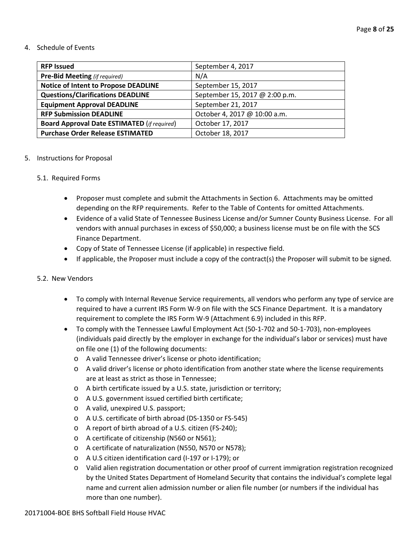#### 4. Schedule of Events

| <b>RFP Issued</b>                                  | September 4, 2017              |
|----------------------------------------------------|--------------------------------|
| <b>Pre-Bid Meeting</b> (if required)               | N/A                            |
| <b>Notice of Intent to Propose DEADLINE</b>        | September 15, 2017             |
| <b>Questions/Clarifications DEADLINE</b>           | September 15, 2017 @ 2:00 p.m. |
| <b>Equipment Approval DEADLINE</b>                 | September 21, 2017             |
| <b>RFP Submission DEADLINE</b>                     | October 4, 2017 @ 10:00 a.m.   |
| <b>Board Approval Date ESTIMATED (if required)</b> | October 17, 2017               |
| <b>Purchase Order Release ESTIMATED</b>            | October 18, 2017               |

#### 5. Instructions for Proposal

#### 5.1. Required Forms

- Proposer must complete and submit the Attachments in Section 6. Attachments may be omitted depending on the RFP requirements. Refer to the Table of Contents for omitted Attachments.
- Evidence of a valid State of Tennessee Business License and/or Sumner County Business License. For all vendors with annual purchases in excess of \$50,000; a business license must be on file with the SCS Finance Department.
- Copy of State of Tennessee License (if applicable) in respective field.
- If applicable, the Proposer must include a copy of the contract(s) the Proposer will submit to be signed.

#### 5.2. New Vendors

- To comply with Internal Revenue Service requirements, all vendors who perform any type of service are required to have a current IRS Form W-9 on file with the SCS Finance Department. It is a mandatory requirement to complete the IRS Form W-9 (Attachment 6.9) included in this RFP.
- To comply with the Tennessee Lawful Employment Act (50-1-702 and 50-1-703), non-employees (individuals paid directly by the employer in exchange for the individual's labor or services) must have on file one (1) of the following documents:
	- o A valid Tennessee driver's license or photo identification;
	- o A valid driver's license or photo identification from another state where the license requirements are at least as strict as those in Tennessee;
	- o A birth certificate issued by a U.S. state, jurisdiction or territory;
	- o A U.S. government issued certified birth certificate;
	- o A valid, unexpired U.S. passport;
	- o A U.S. certificate of birth abroad (DS-1350 or FS-545)
	- o A report of birth abroad of a U.S. citizen (FS-240);
	- o A certificate of citizenship (N560 or N561);
	- o A certificate of naturalization (N550, N570 or N578);
	- o A U.S citizen identification card (I-197 or I-179); or
	- o Valid alien registration documentation or other proof of current immigration registration recognized by the United States Department of Homeland Security that contains the individual's complete legal name and current alien admission number or alien file number (or numbers if the individual has more than one number).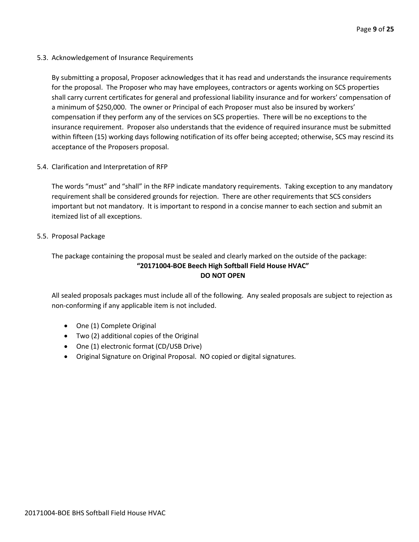5.3. Acknowledgement of Insurance Requirements

By submitting a proposal, Proposer acknowledges that it has read and understands the insurance requirements for the proposal. The Proposer who may have employees, contractors or agents working on SCS properties shall carry current certificates for general and professional liability insurance and for workers' compensation of a minimum of \$250,000. The owner or Principal of each Proposer must also be insured by workers' compensation if they perform any of the services on SCS properties. There will be no exceptions to the insurance requirement. Proposer also understands that the evidence of required insurance must be submitted within fifteen (15) working days following notification of its offer being accepted; otherwise, SCS may rescind its acceptance of the Proposers proposal.

5.4. Clarification and Interpretation of RFP

The words "must" and "shall" in the RFP indicate mandatory requirements. Taking exception to any mandatory requirement shall be considered grounds for rejection. There are other requirements that SCS considers important but not mandatory. It is important to respond in a concise manner to each section and submit an itemized list of all exceptions.

5.5. Proposal Package

The package containing the proposal must be sealed and clearly marked on the outside of the package:

# **"20171004-BOE Beech High Softball Field House HVAC" DO NOT OPEN**

All sealed proposals packages must include all of the following. Any sealed proposals are subject to rejection as non-conforming if any applicable item is not included.

- One (1) Complete Original
- Two (2) additional copies of the Original
- One (1) electronic format (CD/USB Drive)
- Original Signature on Original Proposal. NO copied or digital signatures.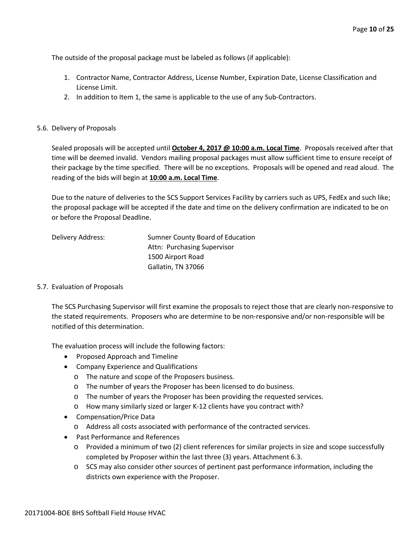The outside of the proposal package must be labeled as follows (if applicable):

- 1. Contractor Name, Contractor Address, License Number, Expiration Date, License Classification and License Limit.
- 2. In addition to Item 1, the same is applicable to the use of any Sub-Contractors.

#### 5.6. Delivery of Proposals

Sealed proposals will be accepted until **October 4, 2017 @ 10:00 a.m. Local Time**. Proposals received after that time will be deemed invalid. Vendors mailing proposal packages must allow sufficient time to ensure receipt of their package by the time specified. There will be no exceptions. Proposals will be opened and read aloud. The reading of the bids will begin at **10:00 a.m. Local Time**.

Due to the nature of deliveries to the SCS Support Services Facility by carriers such as UPS, FedEx and such like; the proposal package will be accepted if the date and time on the delivery confirmation are indicated to be on or before the Proposal Deadline.

| Delivery Address: | Sumner County Board of Education |
|-------------------|----------------------------------|
|                   | Attn: Purchasing Supervisor      |
|                   | 1500 Airport Road                |
|                   | Gallatin, TN 37066               |

#### 5.7. Evaluation of Proposals

The SCS Purchasing Supervisor will first examine the proposals to reject those that are clearly non-responsive to the stated requirements. Proposers who are determine to be non-responsive and/or non-responsible will be notified of this determination.

The evaluation process will include the following factors:

- Proposed Approach and Timeline
- Company Experience and Qualifications
	- o The nature and scope of the Proposers business.
	- o The number of years the Proposer has been licensed to do business.
	- o The number of years the Proposer has been providing the requested services.
	- o How many similarly sized or larger K-12 clients have you contract with?
- Compensation/Price Data
	- o Address all costs associated with performance of the contracted services.
- Past Performance and References
	- o Provided a minimum of two (2) client references for similar projects in size and scope successfully completed by Proposer within the last three (3) years. Attachment 6.3.
	- o SCS may also consider other sources of pertinent past performance information, including the districts own experience with the Proposer.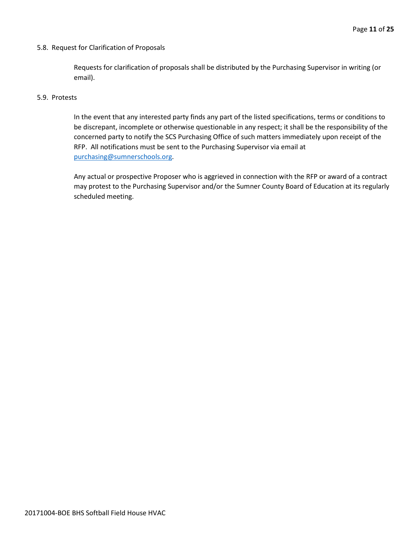#### 5.8. Request for Clarification of Proposals

Requests for clarification of proposals shall be distributed by the Purchasing Supervisor in writing (or email).

#### 5.9. Protests

In the event that any interested party finds any part of the listed specifications, terms or conditions to be discrepant, incomplete or otherwise questionable in any respect; it shall be the responsibility of the concerned party to notify the SCS Purchasing Office of such matters immediately upon receipt of the RFP. All notifications must be sent to the Purchasing Supervisor via email at [purchasing@sumnerschools.org.](mailto:purchasing@sumnerschools.org)

Any actual or prospective Proposer who is aggrieved in connection with the RFP or award of a contract may protest to the Purchasing Supervisor and/or the Sumner County Board of Education at its regularly scheduled meeting.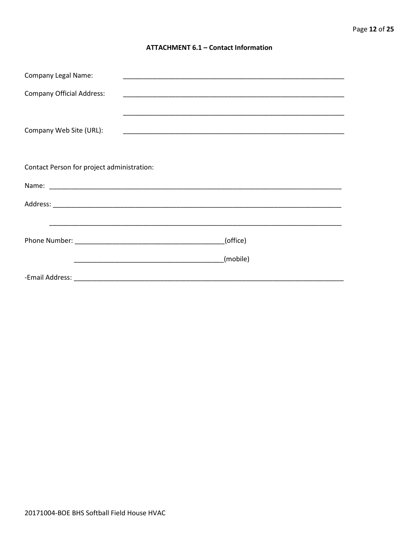#### **ATTACHMENT 6.1 - Contact Information**

| <b>Company Legal Name:</b>                 |                                                                                                                     |  |  |  |  |  |
|--------------------------------------------|---------------------------------------------------------------------------------------------------------------------|--|--|--|--|--|
| <b>Company Official Address:</b>           |                                                                                                                     |  |  |  |  |  |
| Company Web Site (URL):                    |                                                                                                                     |  |  |  |  |  |
| Contact Person for project administration: |                                                                                                                     |  |  |  |  |  |
|                                            |                                                                                                                     |  |  |  |  |  |
|                                            |                                                                                                                     |  |  |  |  |  |
|                                            | <u> 1990 - John Harry Harry Harry Harry Harry Harry Harry Harry Harry Harry Harry Harry Harry Harry Harry Harry</u> |  |  |  |  |  |
|                                            | (office)                                                                                                            |  |  |  |  |  |
|                                            | (mobile)                                                                                                            |  |  |  |  |  |
|                                            |                                                                                                                     |  |  |  |  |  |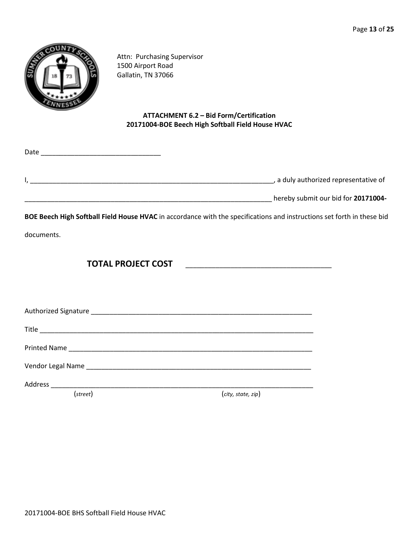

Attn: Purchasing Supervisor 1500 Airport Road Gallatin, TN 37066

# **ATTACHMENT 6.2 – Bid Form/Certification 20171004-BOE Beech High Softball Field House HVAC**

|                                     | Date |
|-------------------------------------|------|
| a duly authorized representative of |      |
| hereby submit our bid for 20171004- |      |

**BOE Beech High Softball Field House HVAC** in accordance with the specifications and instructions set forth in these bid

documents.

**TOTAL PROJECT COST** \_\_\_\_\_\_\_\_\_\_\_\_\_\_\_\_\_\_\_\_\_\_\_\_\_\_\_\_\_\_\_\_\_\_\_\_\_\_\_

Authorized Signature \_\_\_\_\_\_\_\_\_\_\_\_\_\_\_\_\_\_\_\_\_\_\_\_\_\_\_\_\_\_\_\_\_\_\_\_\_\_\_\_\_\_\_\_\_\_\_\_\_\_\_\_\_\_\_\_\_\_\_

Title \_\_\_\_\_\_\_\_\_\_\_\_\_\_\_\_\_\_\_\_\_\_\_\_\_\_\_\_\_\_\_\_\_\_\_\_\_\_\_\_\_\_\_\_\_\_\_\_\_\_\_\_\_\_\_\_\_\_\_\_\_\_\_\_\_\_\_\_\_\_\_\_\_

Printed Name \_\_\_\_\_\_\_\_\_\_\_\_\_\_\_\_\_\_\_\_\_\_\_\_\_\_\_\_\_\_\_\_\_\_\_\_\_\_\_\_\_\_\_\_\_\_\_\_\_\_\_\_\_\_\_\_\_\_\_\_\_\_\_\_\_

Vendor Legal Name \_\_\_\_\_\_\_\_\_\_\_\_\_\_\_\_\_\_\_\_\_\_\_\_\_\_\_\_\_\_\_\_\_\_\_\_\_\_\_\_\_\_\_\_\_\_\_\_\_\_\_\_\_\_\_\_\_\_\_\_

Address \_\_\_\_\_\_\_\_\_\_\_\_\_\_\_\_\_\_\_\_\_\_\_\_\_\_\_\_\_\_\_\_\_\_\_\_\_\_\_\_\_\_\_\_\_\_\_\_\_\_\_\_\_\_\_\_\_\_\_\_\_\_\_\_\_\_\_\_\_\_

(*street*) (*city, state, zip*)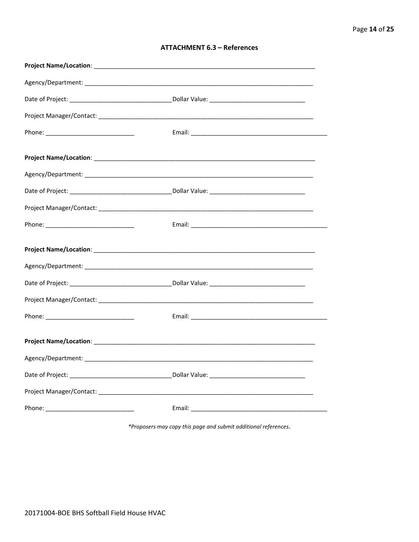| <b>ATTACHMENT 6.3 - References</b> |  |  |
|------------------------------------|--|--|
|------------------------------------|--|--|

\*Proposers may copy this page and submit additional references.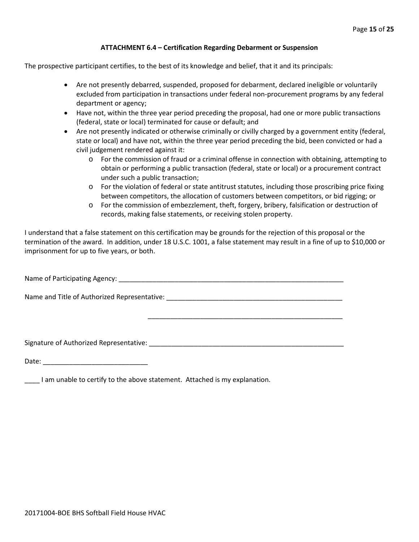#### **ATTACHMENT 6.4 – Certification Regarding Debarment or Suspension**

The prospective participant certifies, to the best of its knowledge and belief, that it and its principals:

- Are not presently debarred, suspended, proposed for debarment, declared ineligible or voluntarily excluded from participation in transactions under federal non-procurement programs by any federal department or agency;
- Have not, within the three year period preceding the proposal, had one or more public transactions (federal, state or local) terminated for cause or default; and
- Are not presently indicated or otherwise criminally or civilly charged by a government entity (federal, state or local) and have not, within the three year period preceding the bid, been convicted or had a civil judgement rendered against it:
	- $\circ$  For the commission of fraud or a criminal offense in connection with obtaining, attempting to obtain or performing a public transaction (federal, state or local) or a procurement contract under such a public transaction;
	- o For the violation of federal or state antitrust statutes, including those proscribing price fixing between competitors, the allocation of customers between competitors, or bid rigging; or
	- o For the commission of embezzlement, theft, forgery, bribery, falsification or destruction of records, making false statements, or receiving stolen property.

\_\_\_\_\_\_\_\_\_\_\_\_\_\_\_\_\_\_\_\_\_\_\_\_\_\_\_\_\_\_\_\_\_\_\_\_\_\_\_\_\_\_\_\_\_\_\_\_\_\_\_\_

I understand that a false statement on this certification may be grounds for the rejection of this proposal or the termination of the award. In addition, under 18 U.S.C. 1001, a false statement may result in a fine of up to \$10,000 or imprisonment for up to five years, or both.

Name of Participating Agency: \_\_\_\_\_\_\_\_\_\_\_\_\_\_\_\_\_\_\_\_\_\_\_\_\_\_\_\_\_\_\_\_\_\_\_\_\_\_\_\_\_\_\_\_\_\_\_\_\_\_\_\_\_\_\_\_\_\_\_\_

Name and Title of Authorized Representative: \_\_\_\_\_\_\_\_\_\_\_\_\_\_\_\_\_\_\_\_\_\_\_\_\_\_\_\_\_\_\_\_\_\_\_\_\_\_\_\_\_\_\_\_\_\_\_

Signature of Authorized Representative: \_\_\_\_\_\_\_\_\_\_\_\_\_\_\_\_\_\_\_\_\_\_\_\_\_\_\_\_\_\_\_\_\_\_\_\_\_\_\_\_\_\_\_\_\_\_\_\_\_\_\_\_

Date: \_\_\_\_\_\_\_\_\_\_\_\_\_\_\_\_\_\_\_\_\_\_\_\_\_\_\_\_

\_\_\_\_ I am unable to certify to the above statement. Attached is my explanation.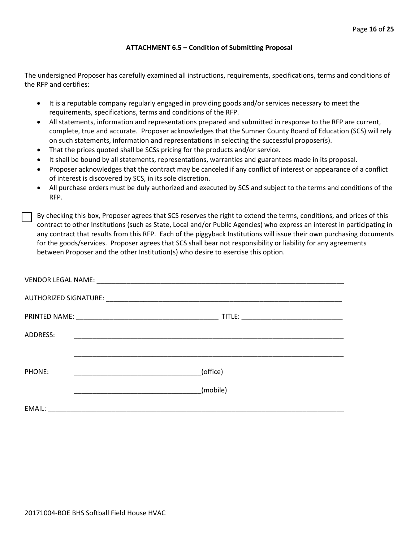#### **ATTACHMENT 6.5 – Condition of Submitting Proposal**

The undersigned Proposer has carefully examined all instructions, requirements, specifications, terms and conditions of the RFP and certifies:

- It is a reputable company regularly engaged in providing goods and/or services necessary to meet the requirements, specifications, terms and conditions of the RFP.
- All statements, information and representations prepared and submitted in response to the RFP are current, complete, true and accurate. Proposer acknowledges that the Sumner County Board of Education (SCS) will rely on such statements, information and representations in selecting the successful proposer(s).
- That the prices quoted shall be SCSs pricing for the products and/or service.
- It shall be bound by all statements, representations, warranties and guarantees made in its proposal.
- Proposer acknowledges that the contract may be canceled if any conflict of interest or appearance of a conflict of interest is discovered by SCS, in its sole discretion.
- All purchase orders must be duly authorized and executed by SCS and subject to the terms and conditions of the RFP.

By checking this box, Proposer agrees that SCS reserves the right to extend the terms, conditions, and prices of this contract to other Institutions (such as State, Local and/or Public Agencies) who express an interest in participating in any contract that results from this RFP. Each of the piggyback Institutions will issue their own purchasing documents for the goods/services. Proposer agrees that SCS shall bear not responsibility or liability for any agreements between Proposer and the other Institution(s) who desire to exercise this option.

| ADDRESS: | <u> 1989 - Johann Stoff, amerikansk politiker (d. 1989)</u> |
|----------|-------------------------------------------------------------|
|          |                                                             |
| PHONE:   | (office)                                                    |
|          | (mobile)                                                    |
| EMAIL:   |                                                             |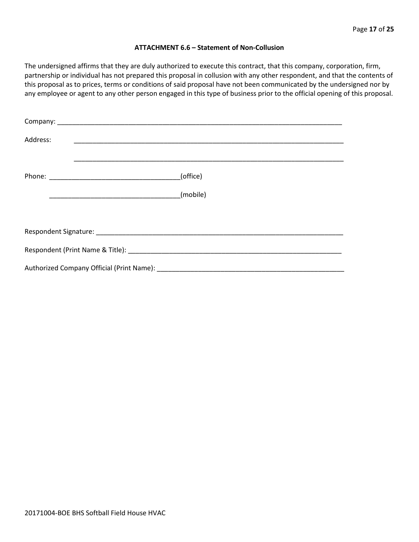#### **ATTACHMENT 6.6 – Statement of Non-Collusion**

The undersigned affirms that they are duly authorized to execute this contract, that this company, corporation, firm, partnership or individual has not prepared this proposal in collusion with any other respondent, and that the contents of this proposal as to prices, terms or conditions of said proposal have not been communicated by the undersigned nor by any employee or agent to any other person engaged in this type of business prior to the official opening of this proposal.

| Address: |          |
|----------|----------|
|          | (office) |
|          | (mobile) |
|          |          |
|          |          |
|          |          |
|          |          |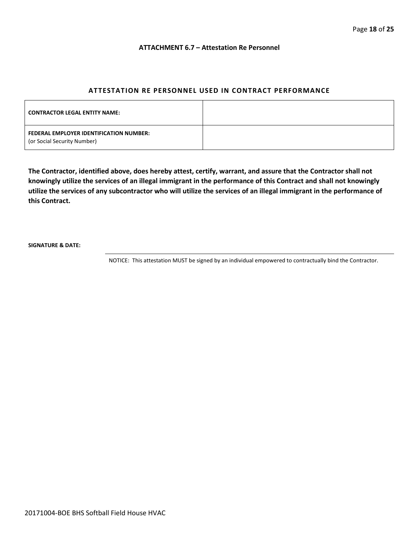#### **ATTACHMENT 6.7 – Attestation Re Personnel**

#### **ATTESTATION RE PERSONNEL USED IN CONTRACT PERFORMANCE**

| <b>CONTRACTOR LEGAL ENTITY NAME:</b>                                   |  |
|------------------------------------------------------------------------|--|
| FEDERAL EMPLOYER IDENTIFICATION NUMBER:<br>(or Social Security Number) |  |

**The Contractor, identified above, does hereby attest, certify, warrant, and assure that the Contractor shall not knowingly utilize the services of an illegal immigrant in the performance of this Contract and shall not knowingly utilize the services of any subcontractor who will utilize the services of an illegal immigrant in the performance of this Contract.**

**SIGNATURE & DATE:**

NOTICE: This attestation MUST be signed by an individual empowered to contractually bind the Contractor.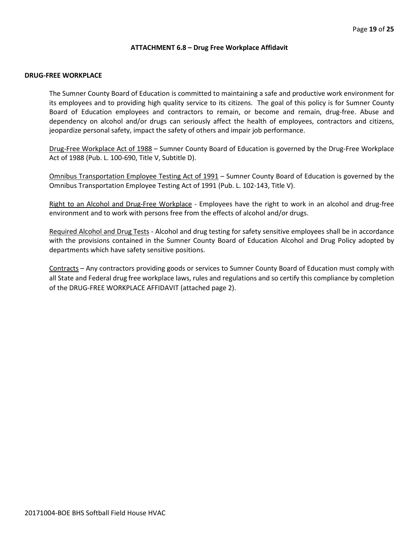#### **ATTACHMENT 6.8 – Drug Free Workplace Affidavit**

#### **DRUG-FREE WORKPLACE**

The Sumner County Board of Education is committed to maintaining a safe and productive work environment for its employees and to providing high quality service to its citizens. The goal of this policy is for Sumner County Board of Education employees and contractors to remain, or become and remain, drug-free. Abuse and dependency on alcohol and/or drugs can seriously affect the health of employees, contractors and citizens, jeopardize personal safety, impact the safety of others and impair job performance.

Drug-Free Workplace Act of 1988 – Sumner County Board of Education is governed by the Drug-Free Workplace Act of 1988 (Pub. L. 100-690, Title V, Subtitle D).

Omnibus Transportation Employee Testing Act of 1991 – Sumner County Board of Education is governed by the Omnibus Transportation Employee Testing Act of 1991 (Pub. L. 102-143, Title V).

Right to an Alcohol and Drug-Free Workplace - Employees have the right to work in an alcohol and drug-free environment and to work with persons free from the effects of alcohol and/or drugs.

Required Alcohol and Drug Tests - Alcohol and drug testing for safety sensitive employees shall be in accordance with the provisions contained in the Sumner County Board of Education Alcohol and Drug Policy adopted by departments which have safety sensitive positions.

Contracts – Any contractors providing goods or services to Sumner County Board of Education must comply with all State and Federal drug free workplace laws, rules and regulations and so certify this compliance by completion of the DRUG-FREE WORKPLACE AFFIDAVIT (attached page 2).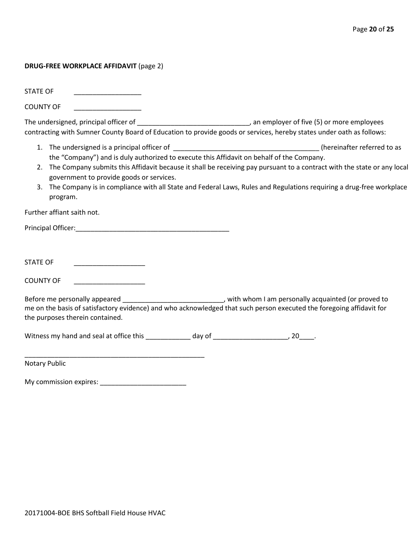#### **DRUG-FREE WORKPLACE AFFIDAVIT** (page 2)

STATE OF

COUNTY OF \_\_\_\_\_\_\_\_\_\_\_\_\_\_\_\_\_\_

The undersigned, principal officer of \_\_\_\_\_\_\_\_\_\_\_\_\_\_\_\_\_\_\_\_\_\_\_\_\_\_\_\_\_\_\_\_\_\_, an employer of five (5) or more employees contracting with Sumner County Board of Education to provide goods or services, hereby states under oath as follows:

- 1. The undersigned is a principal officer of \_\_\_\_\_\_\_\_\_\_\_\_\_\_\_\_\_\_\_\_\_\_\_\_\_\_\_\_\_\_\_\_\_\_\_\_\_\_\_ (hereinafter referred to as the "Company") and is duly authorized to execute this Affidavit on behalf of the Company.
- 2. The Company submits this Affidavit because it shall be receiving pay pursuant to a contract with the state or any local government to provide goods or services.
- 3. The Company is in compliance with all State and Federal Laws, Rules and Regulations requiring a drug-free workplace program.

Further affiant saith not.

Principal Officer:\_\_\_\_\_\_\_\_\_\_\_\_\_\_\_\_\_\_\_\_\_\_\_\_\_\_\_\_\_\_\_\_\_\_\_\_\_\_\_\_\_

STATE OF \_\_\_\_\_\_\_\_\_\_\_\_\_\_\_\_\_\_\_

COUNTY OF

Before me personally appeared \_\_\_\_\_\_\_\_\_\_\_\_\_\_\_\_\_\_\_\_\_\_\_\_\_\_\_\_\_, with whom I am personally acquainted (or proved to me on the basis of satisfactory evidence) and who acknowledged that such person executed the foregoing affidavit for the purposes therein contained.

Witness my hand and seal at office this \_\_\_\_\_\_\_\_\_\_\_\_\_ day of \_\_\_\_\_\_\_\_\_\_\_\_\_\_\_\_\_\_\_\_, 20\_\_\_\_.

Notary Public

My commission expires: \_\_\_\_\_\_\_\_\_\_\_\_\_\_\_\_\_\_\_\_\_\_\_

\_\_\_\_\_\_\_\_\_\_\_\_\_\_\_\_\_\_\_\_\_\_\_\_\_\_\_\_\_\_\_\_\_\_\_\_\_\_\_\_\_\_\_\_\_\_\_\_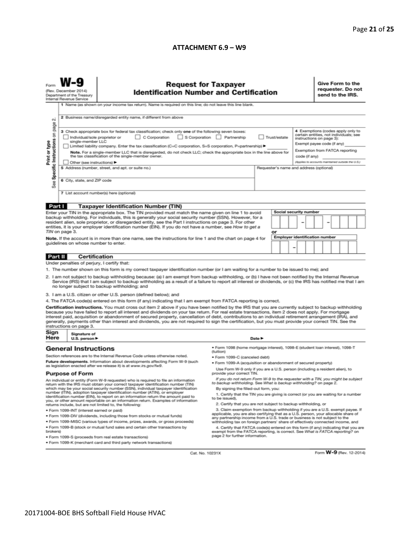#### **ATTACHMENT 6.9 – W9**

| <b>Request for Taxpayer</b><br><b>Identification Number and Certification</b><br>(Rev. December 2014)<br>Department of the Treasury<br>Internal Revenue Service<br>1 Name (as shown on your income tax return). Name is required on this line; do not leave this line blank. |                                                                                                                                                                                                                                                                                                                                                                                                                                                                               |                                                                                                                                                                                                                                                                                                                                                                                                                                                                                                                                                                                                                               |                                                                                                                                                                                                        |                                         |    |  | Give Form to the<br>requester. Do not<br>send to the IRS. |               |                                                                                     |  |  |  |
|------------------------------------------------------------------------------------------------------------------------------------------------------------------------------------------------------------------------------------------------------------------------------|-------------------------------------------------------------------------------------------------------------------------------------------------------------------------------------------------------------------------------------------------------------------------------------------------------------------------------------------------------------------------------------------------------------------------------------------------------------------------------|-------------------------------------------------------------------------------------------------------------------------------------------------------------------------------------------------------------------------------------------------------------------------------------------------------------------------------------------------------------------------------------------------------------------------------------------------------------------------------------------------------------------------------------------------------------------------------------------------------------------------------|--------------------------------------------------------------------------------------------------------------------------------------------------------------------------------------------------------|-----------------------------------------|----|--|-----------------------------------------------------------|---------------|-------------------------------------------------------------------------------------|--|--|--|
| $\sim$<br>page                                                                                                                                                                                                                                                               | 2 Business name/disregarded entity name, if different from above                                                                                                                                                                                                                                                                                                                                                                                                              |                                                                                                                                                                                                                                                                                                                                                                                                                                                                                                                                                                                                                               |                                                                                                                                                                                                        |                                         |    |  |                                                           |               |                                                                                     |  |  |  |
| Specific Instructions on                                                                                                                                                                                                                                                     | 4 Exemptions (codes apply only to<br>3 Check appropriate box for federal tax classification; check only one of the following seven boxes:<br>certain entities, not individuals; see<br>C Corporation S Corporation Partnership<br>Trust/estate<br>Individual/sole proprietor or<br>instructions on page 3):<br>single-member LLC<br>Exempt payee code (if any)<br>Limited liability company. Enter the tax classification (C=C corporation, S=S corporation, P=partnership) ▶ |                                                                                                                                                                                                                                                                                                                                                                                                                                                                                                                                                                                                                               |                                                                                                                                                                                                        |                                         |    |  |                                                           |               |                                                                                     |  |  |  |
| Print or type                                                                                                                                                                                                                                                                | Other (see instructions) ▶                                                                                                                                                                                                                                                                                                                                                                                                                                                    | Note. For a single-member LLC that is disregarded, do not check LLC; check the appropriate box in the line above for<br>the tax classification of the single-member owner.                                                                                                                                                                                                                                                                                                                                                                                                                                                    |                                                                                                                                                                                                        |                                         |    |  |                                                           | code (if any) | Exemption from FATCA reporting<br>(Applies to accounts maintained outside the U.S.) |  |  |  |
| æ                                                                                                                                                                                                                                                                            | 6 City, state, and ZIP code                                                                                                                                                                                                                                                                                                                                                                                                                                                   | 5 Address (number, street, and apt. or suite no.)                                                                                                                                                                                                                                                                                                                                                                                                                                                                                                                                                                             |                                                                                                                                                                                                        | Requester's name and address (optional) |    |  |                                                           |               |                                                                                     |  |  |  |
| αñ                                                                                                                                                                                                                                                                           |                                                                                                                                                                                                                                                                                                                                                                                                                                                                               | 7 List account number(s) here (optional)                                                                                                                                                                                                                                                                                                                                                                                                                                                                                                                                                                                      |                                                                                                                                                                                                        |                                         |    |  |                                                           |               |                                                                                     |  |  |  |
| Part I                                                                                                                                                                                                                                                                       |                                                                                                                                                                                                                                                                                                                                                                                                                                                                               | <b>Taxpayer Identification Number (TIN)</b>                                                                                                                                                                                                                                                                                                                                                                                                                                                                                                                                                                                   |                                                                                                                                                                                                        |                                         |    |  |                                                           |               |                                                                                     |  |  |  |
|                                                                                                                                                                                                                                                                              |                                                                                                                                                                                                                                                                                                                                                                                                                                                                               | Enter your TIN in the appropriate box. The TIN provided must match the name given on line 1 to avoid                                                                                                                                                                                                                                                                                                                                                                                                                                                                                                                          |                                                                                                                                                                                                        |                                         |    |  | <b>Social security number</b>                             |               |                                                                                     |  |  |  |
|                                                                                                                                                                                                                                                                              | TIN on page 3.                                                                                                                                                                                                                                                                                                                                                                                                                                                                | backup withholding. For individuals, this is generally your social security number (SSN). However, for a<br>resident alien, sole proprietor, or disregarded entity, see the Part I instructions on page 3. For other<br>entities, it is your employer identification number (EIN). If you do not have a number, see How to get a                                                                                                                                                                                                                                                                                              |                                                                                                                                                                                                        |                                         | or |  |                                                           |               |                                                                                     |  |  |  |
|                                                                                                                                                                                                                                                                              |                                                                                                                                                                                                                                                                                                                                                                                                                                                                               |                                                                                                                                                                                                                                                                                                                                                                                                                                                                                                                                                                                                                               |                                                                                                                                                                                                        |                                         |    |  | <b>Employer identification number</b>                     |               |                                                                                     |  |  |  |
| Note. If the account is in more than one name, see the instructions for line 1 and the chart on page 4 for<br>guidelines on whose number to enter.<br>-                                                                                                                      |                                                                                                                                                                                                                                                                                                                                                                                                                                                                               |                                                                                                                                                                                                                                                                                                                                                                                                                                                                                                                                                                                                                               |                                                                                                                                                                                                        |                                         |    |  |                                                           |               |                                                                                     |  |  |  |
| Part II                                                                                                                                                                                                                                                                      | <b>Certification</b>                                                                                                                                                                                                                                                                                                                                                                                                                                                          |                                                                                                                                                                                                                                                                                                                                                                                                                                                                                                                                                                                                                               |                                                                                                                                                                                                        |                                         |    |  |                                                           |               |                                                                                     |  |  |  |
|                                                                                                                                                                                                                                                                              | Under penalties of perjury, I certify that:                                                                                                                                                                                                                                                                                                                                                                                                                                   |                                                                                                                                                                                                                                                                                                                                                                                                                                                                                                                                                                                                                               |                                                                                                                                                                                                        |                                         |    |  |                                                           |               |                                                                                     |  |  |  |
|                                                                                                                                                                                                                                                                              |                                                                                                                                                                                                                                                                                                                                                                                                                                                                               | 1. The number shown on this form is my correct taxpayer identification number (or I am waiting for a number to be issued to me); and                                                                                                                                                                                                                                                                                                                                                                                                                                                                                          |                                                                                                                                                                                                        |                                         |    |  |                                                           |               |                                                                                     |  |  |  |
|                                                                                                                                                                                                                                                                              |                                                                                                                                                                                                                                                                                                                                                                                                                                                                               | 2. I am not subject to backup withholding because: (a) I am exempt from backup withholding, or (b) I have not been notified by the Internal Revenue<br>Service (IRS) that I am subject to backup withholding as a result of a failure to report all interest or dividends, or (c) the IRS has notified me that I am<br>no longer subject to backup withholding; and                                                                                                                                                                                                                                                           |                                                                                                                                                                                                        |                                         |    |  |                                                           |               |                                                                                     |  |  |  |
|                                                                                                                                                                                                                                                                              |                                                                                                                                                                                                                                                                                                                                                                                                                                                                               | 3. I am a U.S. citizen or other U.S. person (defined below); and                                                                                                                                                                                                                                                                                                                                                                                                                                                                                                                                                              |                                                                                                                                                                                                        |                                         |    |  |                                                           |               |                                                                                     |  |  |  |
|                                                                                                                                                                                                                                                                              |                                                                                                                                                                                                                                                                                                                                                                                                                                                                               | 4. The FATCA code(s) entered on this form (if any) indicating that I am exempt from FATCA reporting is correct.                                                                                                                                                                                                                                                                                                                                                                                                                                                                                                               |                                                                                                                                                                                                        |                                         |    |  |                                                           |               |                                                                                     |  |  |  |
|                                                                                                                                                                                                                                                                              | instructions on page 3.                                                                                                                                                                                                                                                                                                                                                                                                                                                       | Certification instructions. You must cross out item 2 above if you have been notified by the IRS that you are currently subject to backup withholding<br>because you have failed to report all interest and dividends on your tax return. For real estate transactions, item 2 does not apply. For mortgage<br>interest paid, acquisition or abandonment of secured property, cancellation of debt, contributions to an individual retirement arrangement (IRA), and<br>generally, payments other than interest and dividends, you are not required to sign the certification, but you must provide your correct TIN. See the |                                                                                                                                                                                                        |                                         |    |  |                                                           |               |                                                                                     |  |  |  |
| Sign<br>Here                                                                                                                                                                                                                                                                 | Signature of<br>U.S. person $\blacktriangleright$                                                                                                                                                                                                                                                                                                                                                                                                                             |                                                                                                                                                                                                                                                                                                                                                                                                                                                                                                                                                                                                                               |                                                                                                                                                                                                        | Date P                                  |    |  |                                                           |               |                                                                                     |  |  |  |
|                                                                                                                                                                                                                                                                              | <b>General Instructions</b>                                                                                                                                                                                                                                                                                                                                                                                                                                                   |                                                                                                                                                                                                                                                                                                                                                                                                                                                                                                                                                                                                                               | · Form 1098 (home mortgage interest), 1098-E (student loan interest), 1098-T<br>(tuition)                                                                                                              |                                         |    |  |                                                           |               |                                                                                     |  |  |  |
|                                                                                                                                                                                                                                                                              |                                                                                                                                                                                                                                                                                                                                                                                                                                                                               | Section references are to the Internal Revenue Code unless otherwise noted.                                                                                                                                                                                                                                                                                                                                                                                                                                                                                                                                                   | · Form 1099-C (canceled debt)                                                                                                                                                                          |                                         |    |  |                                                           |               |                                                                                     |  |  |  |
|                                                                                                                                                                                                                                                                              |                                                                                                                                                                                                                                                                                                                                                                                                                                                                               | Future developments. Information about developments affecting Form W-9 (such                                                                                                                                                                                                                                                                                                                                                                                                                                                                                                                                                  | · Form 1099-A (acquisition or abandonment of secured property)                                                                                                                                         |                                         |    |  |                                                           |               |                                                                                     |  |  |  |
| as legislation enacted after we release it) is at www.irs.gov/fw9.<br><b>Purpose of Form</b>                                                                                                                                                                                 |                                                                                                                                                                                                                                                                                                                                                                                                                                                                               | Use Form W-9 only if you are a U.S. person (including a resident alien), to<br>provide your correct TIN.                                                                                                                                                                                                                                                                                                                                                                                                                                                                                                                      |                                                                                                                                                                                                        |                                         |    |  |                                                           |               |                                                                                     |  |  |  |
| An individual or entity (Form W-9 requester) who is required to file an information<br>return with the IRS must obtain your correct taxpayer identification number (TIN)<br>which may be your social security number (SSN), individual taxpayer identification               |                                                                                                                                                                                                                                                                                                                                                                                                                                                                               | If you do not return Form W-9 to the requester with a TIN, you might be subject<br>to backup withholding. See What is backup withholding? on page 2.<br>By signing the filled-out form, you:                                                                                                                                                                                                                                                                                                                                                                                                                                  |                                                                                                                                                                                                        |                                         |    |  |                                                           |               |                                                                                     |  |  |  |
| number (ITIN), adoption taxpayer identification number (ATIN), or employer<br>identification number (EIN), to report on an information return the amount paid to<br>you, or other amount reportable on an information return. Examples of information                        |                                                                                                                                                                                                                                                                                                                                                                                                                                                                               | 1. Certify that the TIN you are giving is correct (or you are waiting for a number<br>to be issued).                                                                                                                                                                                                                                                                                                                                                                                                                                                                                                                          |                                                                                                                                                                                                        |                                         |    |  |                                                           |               |                                                                                     |  |  |  |
| returns include, but are not limited to, the following:<br>· Form 1099-INT (interest earned or paid)                                                                                                                                                                         |                                                                                                                                                                                                                                                                                                                                                                                                                                                                               | 2. Certify that you are not subject to backup withholding, or<br>3. Claim exemption from backup withholding if you are a U.S. exempt payee. If                                                                                                                                                                                                                                                                                                                                                                                                                                                                                |                                                                                                                                                                                                        |                                         |    |  |                                                           |               |                                                                                     |  |  |  |
|                                                                                                                                                                                                                                                                              |                                                                                                                                                                                                                                                                                                                                                                                                                                                                               | . Form 1099-DIV (dividends, including those from stocks or mutual funds)                                                                                                                                                                                                                                                                                                                                                                                                                                                                                                                                                      | applicable, you are also certifying that as a U.S. person, your allocable share of                                                                                                                     |                                         |    |  |                                                           |               |                                                                                     |  |  |  |
|                                                                                                                                                                                                                                                                              |                                                                                                                                                                                                                                                                                                                                                                                                                                                                               | * Form 1099-MISC (various types of income, prizes, awards, or gross proceeds)                                                                                                                                                                                                                                                                                                                                                                                                                                                                                                                                                 | any partnership income from a U.S. trade or business is not subject to the<br>withholding tax on foreign partners' share of effectively connected income, and                                          |                                         |    |  |                                                           |               |                                                                                     |  |  |  |
| brokers)                                                                                                                                                                                                                                                                     |                                                                                                                                                                                                                                                                                                                                                                                                                                                                               | . Form 1099-B (stock or mutual fund sales and certain other transactions by<br>· Form 1099-S (proceeds from real estate transactions)                                                                                                                                                                                                                                                                                                                                                                                                                                                                                         | 4. Certify that FATCA code(s) entered on this form (if any) indicating that you are<br>exempt from the FATCA reporting, is correct. See What is FATCA reporting? on<br>page 2 for further information. |                                         |    |  |                                                           |               |                                                                                     |  |  |  |
|                                                                                                                                                                                                                                                                              |                                                                                                                                                                                                                                                                                                                                                                                                                                                                               | . Form 1099-K (merchant card and third party network transactions)                                                                                                                                                                                                                                                                                                                                                                                                                                                                                                                                                            |                                                                                                                                                                                                        |                                         |    |  |                                                           |               |                                                                                     |  |  |  |

Cat. No. 10231X

Form W-9 (Rev. 12-2014)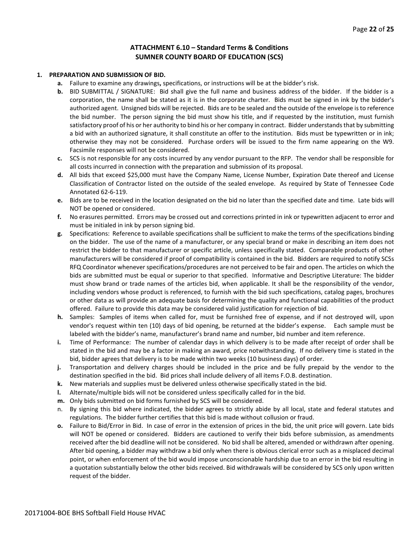#### **ATTACHMENT 6.10 – Standard Terms & Conditions SUMNER COUNTY BOARD OF EDUCATION (SCS)**

#### **1. PREPARATION AND SUBMISSION OF BID.**

- **a.** Failure to examine any drawings**,** specifications, or instructions will be at the bidder's risk.
- **b.** BID SUBMITTAL / SIGNATURE: Bid shall give the full name and business address of the bidder. If the bidder is a corporation, the name shall be stated as it is in the corporate charter. Bids must be signed in ink by the bidder's authorized agent. Unsigned bids will be rejected. Bids are to be sealed and the outside of the envelope is to reference the bid number. The person signing the bid must show his title, and if requested by the institution, must furnish satisfactory proof of his or her authority to bind his or her company in contract. Bidder understands that by submitting a bid with an authorized signature, it shall constitute an offer to the institution. Bids must be typewritten or in ink; otherwise they may not be considered. Purchase orders will be issued to the firm name appearing on the W9. Facsimile responses will not be considered.
- **c.** SCS is not responsible for any costs incurred by any vendor pursuant to the RFP. The vendor shall be responsible for all costs incurred in connection with the preparation and submission of its proposal.
- **d.** All bids that exceed \$25,000 must have the Company Name, License Number, Expiration Date thereof and License Classification of Contractor listed on the outside of the sealed envelope. As required by State of Tennessee Code Annotated 62-6-119.
- **e.** Bids are to be received in the location designated on the bid no later than the specified date and time. Late bids will NOT be opened or considered.
- **f.** No erasures permitted. Errors may be crossed out and corrections printed in ink or typewritten adjacent to error and must be initialed in ink by person signing bid.
- **g.** Specifications: Reference to available specifications shall be sufficient to make the terms of the specifications binding on the bidder. The use of the name of a manufacturer, or any special brand or make in describing an item does not restrict the bidder to that manufacturer or specific article, unless specifically stated. Comparable products of other manufacturers will be considered if proof of compatibility is contained in the bid. Bidders are required to notify SCSs RFQ Coordinator whenever specifications/procedures are not perceived to be fair and open. The articles on which the bids are submitted must be equal or superior to that specified. Informative and Descriptive Literature: The bidder must show brand or trade names of the articles bid, when applicable. It shall be the responsibility of the vendor, including vendors whose product is referenced, to furnish with the bid such specifications, catalog pages, brochures or other data as will provide an adequate basis for determining the quality and functional capabilities of the product offered. Failure to provide this data may be considered valid justification for rejection of bid.
- **h.** Samples: Samples of items when called for, must be furnished free of expense, and if not destroyed will, upon vendor's request within ten (10) days of bid opening, be returned at the bidder's expense. Each sample must be labeled with the bidder's name, manufacturer's brand name and number, bid number and item reference.
- **i.** Time of Performance: The number of calendar days in which delivery is to be made after receipt of order shall be stated in the bid and may be a factor in making an award, price notwithstanding. If no delivery time is stated in the bid, bidder agrees that delivery is to be made within two weeks (10 business days) of order.
- **j.** Transportation and delivery charges should be included in the price and be fully prepaid by the vendor to the destination specified in the bid. Bid prices shall include delivery of all items F.O.B. destination.
- **k.** New materials and supplies must be delivered unless otherwise specifically stated in the bid.
- **l.** Alternate/multiple bids will not be considered unless specifically called for in the bid.
- **m.** Only bids submitted on bid forms furnished by SCS will be considered.
- n. By signing this bid where indicated, the bidder agrees to strictly abide by all local, state and federal statutes and regulations. The bidder further certifies that this bid is made without collusion or fraud.
- **o.** Failure to Bid/Error in Bid. In case of error in the extension of prices in the bid, the unit price will govern. Late bids will NOT be opened or considered. Bidders are cautioned to verify their bids before submission, as amendments received after the bid deadline will not be considered. No bid shall be altered, amended or withdrawn after opening. After bid opening, a bidder may withdraw a bid only when there is obvious clerical error such as a misplaced decimal point, or when enforcement of the bid would impose unconscionable hardship due to an error in the bid resulting in a quotation substantially below the other bids received. Bid withdrawals will be considered by SCS only upon written request of the bidder.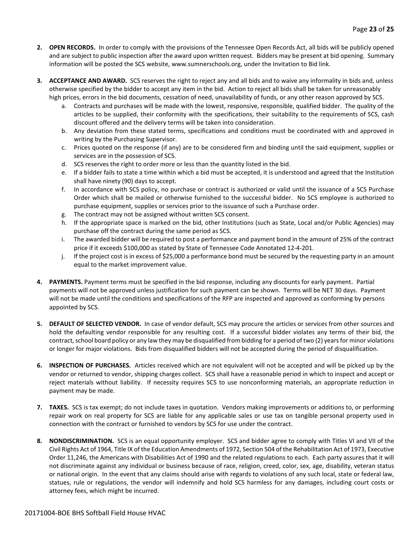- **2. OPEN RECORDS.** In order to comply with the provisions of the Tennessee Open Records Act, all bids will be publicly opened and are subject to public inspection after the award upon written request. Bidders may be present at bid opening. Summary information will be posted the SCS website, www.sumnerschools.org, under the Invitation to Bid link.
- **3. ACCEPTANCE AND AWARD.** SCS reserves the right to reject any and all bids and to waive any informality in bids and, unless otherwise specified by the bidder to accept any item in the bid. Action to reject all bids shall be taken for unreasonably high prices, errors in the bid documents, cessation of need, unavailability of funds, or any other reason approved by SCS.
	- a. Contracts and purchases will be made with the lowest, responsive, responsible, qualified bidder. The quality of the articles to be supplied, their conformity with the specifications, their suitability to the requirements of SCS, cash discount offered and the delivery terms will be taken into consideration.
	- b. Any deviation from these stated terms, specifications and conditions must be coordinated with and approved in writing by the Purchasing Supervisor.
	- c. Prices quoted on the response (if any) are to be considered firm and binding until the said equipment, supplies or services are in the possession of SCS.
	- d. SCS reserves the right to order more or less than the quantity listed in the bid.
	- e. If a bidder fails to state a time within which a bid must be accepted, it is understood and agreed that the Institution shall have ninety (90) days to accept.
	- f. In accordance with SCS policy, no purchase or contract is authorized or valid until the issuance of a SCS Purchase Order which shall be mailed or otherwise furnished to the successful bidder. No SCS employee is authorized to purchase equipment, supplies or services prior to the issuance of such a Purchase order.
	- g. The contract may not be assigned without written SCS consent.
	- h. If the appropriate space is marked on the bid, other Institutions (such as State, Local and/or Public Agencies) may purchase off the contract during the same period as SCS.
	- i. The awarded bidder will be required to post a performance and payment bond in the amount of 25% of the contract price if it exceeds \$100,000 as stated by State of Tennessee Code Annotated 12-4-201.
	- j. If the project cost is in excess of \$25,000 a performance bond must be secured by the requesting party in an amount equal to the market improvement value.
- **4. PAYMENTS.** Payment terms must be specified in the bid response, including any discounts for early payment. Partial payments will not be approved unless justification for such payment can be shown. Terms will be NET 30 days. Payment will not be made until the conditions and specifications of the RFP are inspected and approved as conforming by persons appointed by SCS.
- **5. DEFAULT OF SELECTED VENDOR.** In case of vendor default, SCS may procure the articles or services from other sources and hold the defaulting vendor responsible for any resulting cost. If a successful bidder violates any terms of their bid, the contract, school board policy or any law they may be disqualified from bidding for a period of two (2) years for minor violations or longer for major violations. Bids from disqualified bidders will not be accepted during the period of disqualification.
- **6. INSPECTION OF PURCHASES.** Articles received which are not equivalent will not be accepted and will be picked up by the vendor or returned to vendor, shipping charges collect. SCS shall have a reasonable period in which to inspect and accept or reject materials without liability. If necessity requires SCS to use nonconforming materials, an appropriate reduction in payment may be made.
- **7. TAXES.** SCS is tax exempt; do not include taxes in quotation. Vendors making improvements or additions to, or performing repair work on real property for SCS are liable for any applicable sales or use tax on tangible personal property used in connection with the contract or furnished to vendors by SCS for use under the contract.
- **8. NONDISCRIMINATION.** SCS is an equal opportunity employer. SCS and bidder agree to comply with Titles VI and VII of the Civil Rights Act of 1964, Title IX of the Education Amendments of 1972, Section 504 of the Rehabilitation Act of 1973, Executive Order 11,246, the Americans with Disabilities Act of 1990 and the related regulations to each. Each party assures that it will not discriminate against any individual or business because of race, religion, creed, color, sex, age, disability, veteran status or national origin. In the event that any claims should arise with regards to violations of any such local, state or federal law, statues, rule or regulations, the vendor will indemnify and hold SCS harmless for any damages, including court costs or attorney fees, which might be incurred.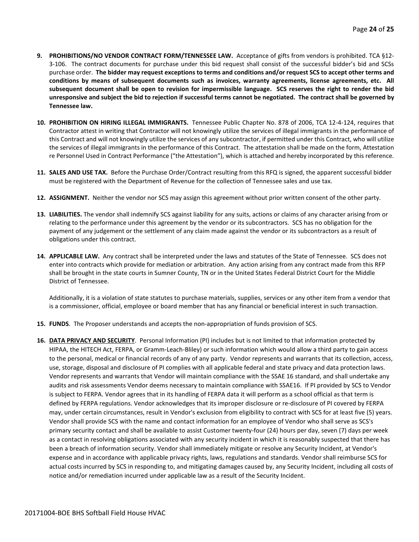- **9. PROHIBITIONS/NO VENDOR CONTRACT FORM/TENNESSEE LAW.** Acceptance of gifts from vendors is prohibited. TCA §12- 3-106. The contract documents for purchase under this bid request shall consist of the successful bidder's bid and SCSs purchase order. **The bidder may request exceptions to terms and conditions and/or request SCS to accept other terms and conditions by means of subsequent documents such as invoices, warranty agreements, license agreements, etc. All subsequent document shall be open to revision for impermissible language. SCS reserves the right to render the bid unresponsive and subject the bid to rejection if successful terms cannot be negotiated. The contract shall be governed by Tennessee law.**
- **10. PROHIBITION ON HIRING ILLEGAL IMMIGRANTS.** Tennessee Public Chapter No. 878 of 2006, TCA 12-4-124, requires that Contractor attest in writing that Contractor will not knowingly utilize the services of illegal immigrants in the performance of this Contract and will not knowingly utilize the services of any subcontractor, if permitted under this Contract, who will utilize the services of illegal immigrants in the performance of this Contract. The attestation shall be made on the form, Attestation re Personnel Used in Contract Performance ("the Attestation"), which is attached and hereby incorporated by this reference.
- **11. SALES AND USE TAX.** Before the Purchase Order/Contract resulting from this RFQ is signed, the apparent successful bidder must be registered with the Department of Revenue for the collection of Tennessee sales and use tax.
- **12. ASSIGNMENT.** Neither the vendor nor SCS may assign this agreement without prior written consent of the other party.
- **13. LIABILITIES.** The vendor shall indemnify SCS against liability for any suits, actions or claims of any character arising from or relating to the performance under this agreement by the vendor or its subcontractors. SCS has no obligation for the payment of any judgement or the settlement of any claim made against the vendor or its subcontractors as a result of obligations under this contract.
- **14. APPLICABLE LAW.** Any contract shall be interpreted under the laws and statutes of the State of Tennessee. SCS does not enter into contracts which provide for mediation or arbitration. Any action arising from any contract made from this RFP shall be brought in the state courts in Sumner County, TN or in the United States Federal District Court for the Middle District of Tennessee.

Additionally, it is a violation of state statutes to purchase materials, supplies, services or any other item from a vendor that is a commissioner, official, employee or board member that has any financial or beneficial interest in such transaction.

- **15. FUNDS**. The Proposer understands and accepts the non-appropriation of funds provision of SCS.
- **16. DATA PRIVACY AND SECURITY**. Personal Information (PI) includes but is not limited to that information protected by HIPAA, the HITECH Act, FERPA, or Gramm-Leach-Bliley) or such information which would allow a third party to gain access to the personal, medical or financial records of any of any party. Vendor represents and warrants that its collection, access, use, storage, disposal and disclosure of PI complies with all applicable federal and state privacy and data protection laws. Vendor represents and warrants that Vendor will maintain compliance with the SSAE 16 standard, and shall undertake any audits and risk assessments Vendor deems necessary to maintain compliance with SSAE16. If PI provided by SCS to Vendor is subject to FERPA. Vendor agrees that in its handling of FERPA data it will perform as a school official as that term is defined by FERPA regulations. Vendor acknowledges that its improper disclosure or re-disclosure of PI covered by FERPA may, under certain circumstances, result in Vendor's exclusion from eligibility to contract with SCS for at least five (5) years. Vendor shall provide SCS with the name and contact information for an employee of Vendor who shall serve as SCS's primary security contact and shall be available to assist Customer twenty-four (24) hours per day, seven (7) days per week as a contact in resolving obligations associated with any security incident in which it is reasonably suspected that there has been a breach of information security. Vendor shall immediately mitigate or resolve any Security Incident, at Vendor's expense and in accordance with applicable privacy rights, laws, regulations and standards. Vendor shall reimburse SCS for actual costs incurred by SCS in responding to, and mitigating damages caused by, any Security Incident, including all costs of notice and/or remediation incurred under applicable law as a result of the Security Incident.